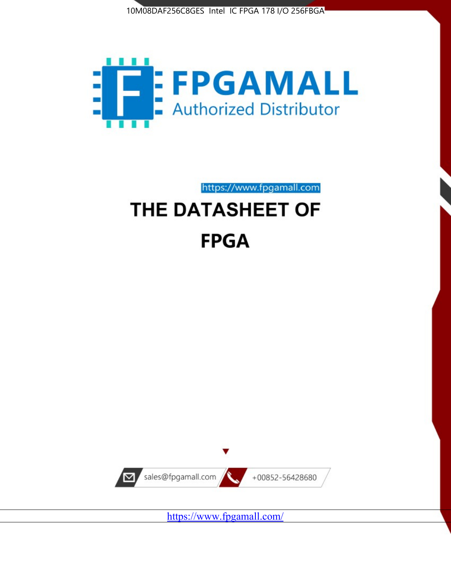



https://www.fpgamall.com THE DATASHEET OF

# **FPGA**



<https://www.fpgamall.com/>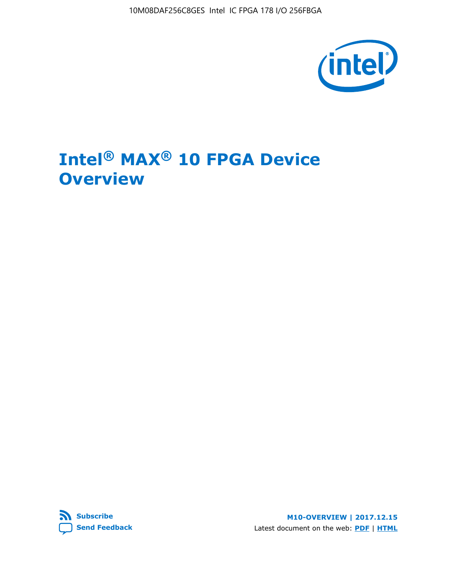10M08DAF256C8GES Intel IC FPGA 178 I/O 256FBGA



## **Intel® MAX® 10 FPGA Device Overview**



**M10-OVERVIEW | 2017.12.15** Latest document on the web: **[PDF](https://www.altera.com/en_US/pdfs/literature/hb/max-10/m10_overview.pdf)** | **[HTML](https://www.altera.com/documentation/myt1396938463674.html)**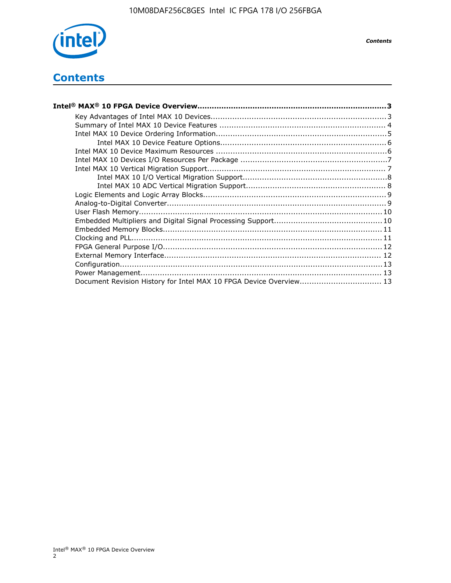

*Contents*

## **Contents**

| Intel® MAX® 10 FPGA Device Overview………………………………………………………………………………………3 |  |
|-----------------------------------------------------------------------|--|
|                                                                       |  |
|                                                                       |  |
|                                                                       |  |
|                                                                       |  |
|                                                                       |  |
|                                                                       |  |
|                                                                       |  |
|                                                                       |  |
|                                                                       |  |
|                                                                       |  |
|                                                                       |  |
|                                                                       |  |
|                                                                       |  |
|                                                                       |  |
|                                                                       |  |
|                                                                       |  |
|                                                                       |  |
|                                                                       |  |
|                                                                       |  |
| Document Revision History for Intel MAX 10 FPGA Device Overview 13    |  |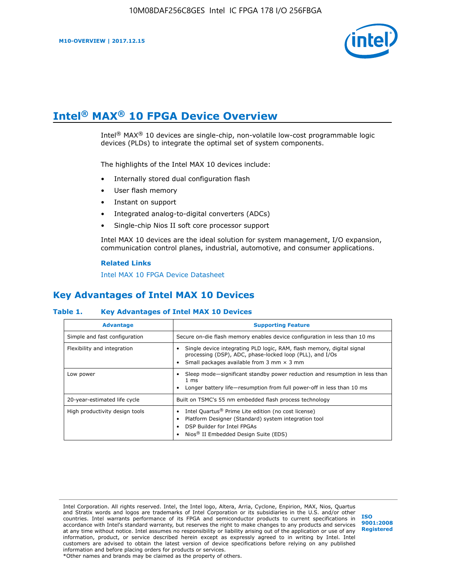

## **Intel® MAX® 10 FPGA Device Overview**

Intel® MAX® 10 devices are single-chip, non-volatile low-cost programmable logic devices (PLDs) to integrate the optimal set of system components.

The highlights of the Intel MAX 10 devices include:

- Internally stored dual configuration flash
- User flash memory
- Instant on support
- Integrated analog-to-digital converters (ADCs)
- Single-chip Nios II soft core processor support

Intel MAX 10 devices are the ideal solution for system management, I/O expansion, communication control planes, industrial, automotive, and consumer applications.

#### **Related Links**

[Intel MAX 10 FPGA Device Datasheet](https://www.altera.com/documentation/mcn1397700832153.html#mcn1397643748870)

## **Key Advantages of Intel MAX 10 Devices**

#### **Table 1. Key Advantages of Intel MAX 10 Devices**

| <b>Advantage</b>               | <b>Supporting Feature</b>                                                                                                                                                                                  |  |  |  |
|--------------------------------|------------------------------------------------------------------------------------------------------------------------------------------------------------------------------------------------------------|--|--|--|
| Simple and fast configuration  | Secure on-die flash memory enables device configuration in less than 10 ms                                                                                                                                 |  |  |  |
| Flexibility and integration    | Single device integrating PLD logic, RAM, flash memory, digital signal<br>processing (DSP), ADC, phase-locked loop (PLL), and I/Os<br>Small packages available from 3 mm $\times$ 3 mm                     |  |  |  |
| Low power                      | Sleep mode—significant standby power reduction and resumption in less than<br>$1 \text{ ms}$<br>Longer battery life—resumption from full power-off in less than 10 ms                                      |  |  |  |
| 20-year-estimated life cycle   | Built on TSMC's 55 nm embedded flash process technology                                                                                                                                                    |  |  |  |
| High productivity design tools | Intel Quartus <sup>®</sup> Prime Lite edition (no cost license)<br>Platform Designer (Standard) system integration tool<br>DSP Builder for Intel FPGAs<br>Nios <sup>®</sup> II Embedded Design Suite (EDS) |  |  |  |

Intel Corporation. All rights reserved. Intel, the Intel logo, Altera, Arria, Cyclone, Enpirion, MAX, Nios, Quartus and Stratix words and logos are trademarks of Intel Corporation or its subsidiaries in the U.S. and/or other countries. Intel warrants performance of its FPGA and semiconductor products to current specifications in accordance with Intel's standard warranty, but reserves the right to make changes to any products and services at any time without notice. Intel assumes no responsibility or liability arising out of the application or use of any information, product, or service described herein except as expressly agreed to in writing by Intel. Intel customers are advised to obtain the latest version of device specifications before relying on any published information and before placing orders for products or services. \*Other names and brands may be claimed as the property of others.

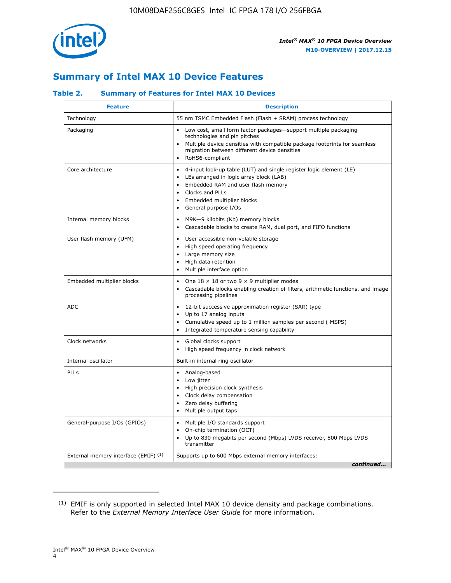

## **Summary of Intel MAX 10 Device Features**

#### **Table 2. Summary of Features for Intel MAX 10 Devices**

| <b>Feature</b>                       | <b>Description</b>                                                                                                                                                                                                                                                                                         |
|--------------------------------------|------------------------------------------------------------------------------------------------------------------------------------------------------------------------------------------------------------------------------------------------------------------------------------------------------------|
| Technology                           | 55 nm TSMC Embedded Flash (Flash + SRAM) process technology                                                                                                                                                                                                                                                |
| Packaging                            | Low cost, small form factor packages-support multiple packaging<br>technologies and pin pitches<br>Multiple device densities with compatible package footprints for seamless<br>migration between different device densities<br>RoHS6-compliant                                                            |
| Core architecture                    | 4-input look-up table (LUT) and single register logic element (LE)<br>$\bullet$<br>LEs arranged in logic array block (LAB)<br>$\bullet$<br>Embedded RAM and user flash memory<br>$\bullet$<br>Clocks and PLLs<br>$\bullet$<br>Embedded multiplier blocks<br>$\bullet$<br>General purpose I/Os<br>$\bullet$ |
| Internal memory blocks               | M9K-9 kilobits (Kb) memory blocks<br>$\bullet$<br>Cascadable blocks to create RAM, dual port, and FIFO functions<br>$\bullet$                                                                                                                                                                              |
| User flash memory (UFM)              | User accessible non-volatile storage<br>$\bullet$<br>High speed operating frequency<br>$\bullet$<br>Large memory size<br>High data retention<br>$\bullet$<br>Multiple interface option                                                                                                                     |
| Embedded multiplier blocks           | One $18 \times 18$ or two 9 $\times$ 9 multiplier modes<br>$\bullet$<br>Cascadable blocks enabling creation of filters, arithmetic functions, and image<br>processing pipelines                                                                                                                            |
| <b>ADC</b>                           | 12-bit successive approximation register (SAR) type<br>$\bullet$<br>Up to 17 analog inputs<br>$\bullet$<br>Cumulative speed up to 1 million samples per second (MSPS)<br>Integrated temperature sensing capability<br>$\bullet$                                                                            |
| Clock networks                       | Global clocks support<br>$\bullet$<br>High speed frequency in clock network                                                                                                                                                                                                                                |
| Internal oscillator                  | Built-in internal ring oscillator                                                                                                                                                                                                                                                                          |
| PLLs                                 | • Analog-based<br>Low jitter<br>$\bullet$<br>High precision clock synthesis<br>$\bullet$<br>Clock delay compensation<br>$\bullet$<br>Zero delay buffering<br>$\bullet$<br>Multiple output taps<br>$\bullet$                                                                                                |
| General-purpose I/Os (GPIOs)         | • Multiple I/O standards support<br>On-chip termination (OCT)<br>$\bullet$<br>Up to 830 megabits per second (Mbps) LVDS receiver, 800 Mbps LVDS<br>transmitter                                                                                                                                             |
| External memory interface (EMIF) (1) | Supports up to 600 Mbps external memory interfaces:<br>continued                                                                                                                                                                                                                                           |

<sup>(1)</sup> EMIF is only supported in selected Intel MAX 10 device density and package combinations. Refer to the *External Memory Interface User Guide* for more information.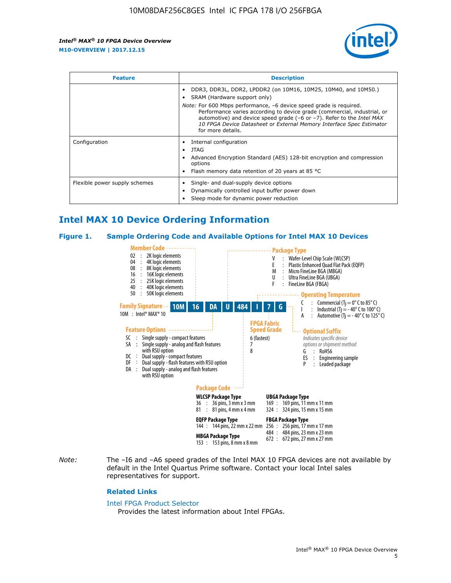

| <b>Feature</b>                | <b>Description</b>                                                                                                                                                                                                                                                                                                                                                                                                                               |  |  |  |
|-------------------------------|--------------------------------------------------------------------------------------------------------------------------------------------------------------------------------------------------------------------------------------------------------------------------------------------------------------------------------------------------------------------------------------------------------------------------------------------------|--|--|--|
|                               | DDR3, DDR3L, DDR2, LPDDR2 (on 10M16, 10M25, 10M40, and 10M50.)<br>SRAM (Hardware support only)<br><i>Note:</i> For 600 Mbps performance, -6 device speed grade is required.<br>Performance varies according to device grade (commercial, industrial, or<br>automotive) and device speed grade $(-6 \text{ or } -7)$ . Refer to the <i>Intel MAX</i><br>10 FPGA Device Datasheet or External Memory Interface Spec Estimator<br>for more details. |  |  |  |
| Configuration                 | Internal configuration<br>JTAG<br>٠<br>Advanced Encryption Standard (AES) 128-bit encryption and compression<br>options<br>Flash memory data retention of 20 years at 85 $^{\circ}$ C                                                                                                                                                                                                                                                            |  |  |  |
| Flexible power supply schemes | Single- and dual-supply device options<br>Dynamically controlled input buffer power down<br>Sleep mode for dynamic power reduction                                                                                                                                                                                                                                                                                                               |  |  |  |

## **Intel MAX 10 Device Ordering Information**

#### **Figure 1. Sample Ordering Code and Available Options for Intel MAX 10 Devices**



*Note:* The –I6 and –A6 speed grades of the Intel MAX 10 FPGA devices are not available by default in the Intel Quartus Prime software. Contact your local Intel sales representatives for support.

#### **Related Links**

#### [Intel FPGA Product Selector](http://www.altera.com/products/selector/psg-selector.html)

Provides the latest information about Intel FPGAs.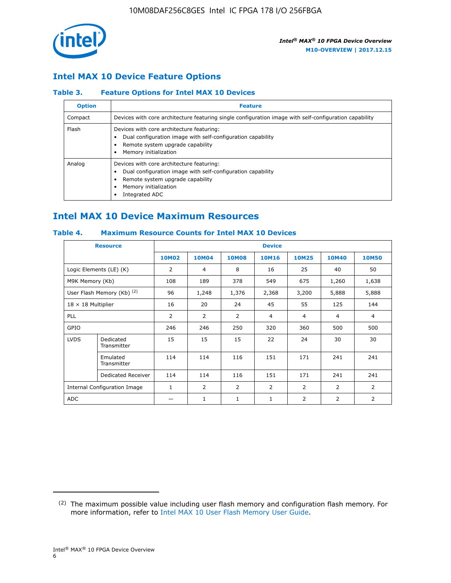

## **Intel MAX 10 Device Feature Options**

#### **Table 3. Feature Options for Intel MAX 10 Devices**

| <b>Option</b> | <b>Feature</b>                                                                                                                                                                          |
|---------------|-----------------------------------------------------------------------------------------------------------------------------------------------------------------------------------------|
| Compact       | Devices with core architecture featuring single configuration image with self-configuration capability                                                                                  |
| Flash         | Devices with core architecture featuring:<br>Dual configuration image with self-configuration capability<br>Remote system upgrade capability<br>Memory initialization                   |
| Analog        | Devices with core architecture featuring:<br>Dual configuration image with self-configuration capability<br>Remote system upgrade capability<br>Memory initialization<br>Integrated ADC |

## **Intel MAX 10 Device Maximum Resources**

#### **Table 4. Maximum Resource Counts for Intel MAX 10 Devices**

| <b>Resource</b>                     |                            | <b>Device</b> |              |              |              |                |              |                |
|-------------------------------------|----------------------------|---------------|--------------|--------------|--------------|----------------|--------------|----------------|
|                                     |                            | <b>10M02</b>  | <b>10M04</b> | <b>10M08</b> | <b>10M16</b> | <b>10M25</b>   | <b>10M40</b> | <b>10M50</b>   |
|                                     | Logic Elements (LE) (K)    | 2             | 4            | 8            | 16           | 25             | 40           | 50             |
| M9K Memory (Kb)                     |                            | 108           | 189          | 378          | 549          | 675            | 1,260        | 1,638          |
|                                     | User Flash Memory (Kb) (2) | 96            | 1,248        | 1,376        | 2,368        | 3,200          | 5,888        | 5,888          |
| $18 \times 18$ Multiplier           |                            | 16            | 20           | 24           | 45           | 55             | 125          | 144            |
| <b>PLL</b>                          |                            | 2             | 2            | 2            | 4            | $\overline{4}$ | 4            | $\overline{4}$ |
| GPIO                                |                            | 246           | 246          | 250          | 320          | 360            | 500          | 500            |
| <b>LVDS</b>                         | Dedicated<br>Transmitter   | 15            | 15           | 15           | 22           | 24             | 30           | 30             |
|                                     | Emulated<br>Transmitter    | 114           | 114          | 116          | 151          | 171            | 241          | 241            |
|                                     | Dedicated Receiver         | 114           | 114          | 116          | 151          | 171            | 241          | 241            |
| <b>Internal Configuration Image</b> |                            | $\mathbf{1}$  | 2            | 2            | 2            | $\overline{2}$ | 2            | $\overline{2}$ |
| <b>ADC</b>                          |                            |               | 1            | 1            | $\mathbf{1}$ | $\overline{2}$ | 2            | 2              |

<sup>(2)</sup> The maximum possible value including user flash memory and configuration flash memory. For more information, refer to [Intel MAX 10 User Flash Memory User Guide](https://www.altera.com/documentation/vgo1395753117436.html#vgo1395811844282).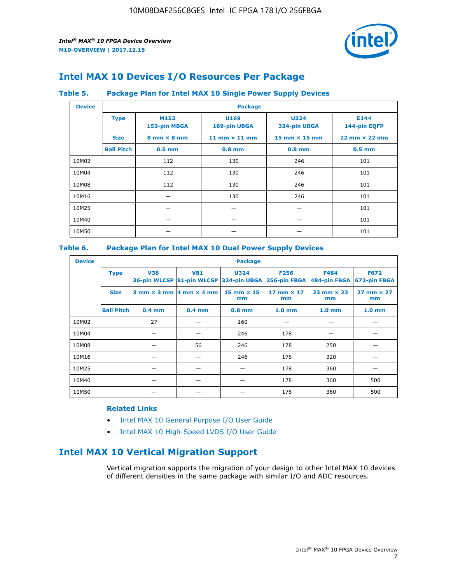

## **Intel MAX 10 Devices I/O Resources Per Package**

#### **Table 5. Package Plan for Intel MAX 10 Single Power Supply Devices**

| <b>Device</b> | <b>Package</b>    |                                    |                      |                             |                                      |  |  |  |
|---------------|-------------------|------------------------------------|----------------------|-----------------------------|--------------------------------------|--|--|--|
|               | <b>Type</b>       | M153<br>153-pin MBGA               | U169<br>169-pin UBGA | <b>U324</b><br>324-pin UBGA | E144<br>144-pin EQFP                 |  |  |  |
|               | <b>Size</b>       | $8 \text{ mm} \times 8 \text{ mm}$ | 11 mm $\times$ 11 mm | $15$ mm $\times$ 15 mm      | $22 \text{ mm} \times 22 \text{ mm}$ |  |  |  |
|               | <b>Ball Pitch</b> | $0.5$ mm                           | $0.8$ mm             | $0.8$ mm                    | $0.5$ mm                             |  |  |  |
| 10M02         |                   | 112                                | 130                  | 246                         | 101                                  |  |  |  |
| 10M04         |                   | 112                                | 130                  | 246                         | 101                                  |  |  |  |
| 10M08         |                   | 112                                | 130                  | 246                         | 101                                  |  |  |  |
| 10M16         |                   |                                    | 130                  | 246                         | 101                                  |  |  |  |
| 10M25         |                   |                                    |                      |                             | 101                                  |  |  |  |
| 10M40         |                   |                                    |                      |                             | 101                                  |  |  |  |
| 10M50         |                   |                                    |                      |                             | 101                                  |  |  |  |

#### **Table 6. Package Plan for Intel MAX 10 Dual Power Supply Devices**

| <b>Device</b> |                   | <b>Package</b> |                                                |                                                                    |                         |                             |                             |  |  |
|---------------|-------------------|----------------|------------------------------------------------|--------------------------------------------------------------------|-------------------------|-----------------------------|-----------------------------|--|--|
|               | <b>Type</b>       | <b>V36</b>     | <b>V81</b>                                     | <b>U324</b><br>36-pin WLCSP 81-pin WLCSP 324-pin UBGA 256-pin FBGA | <b>F256</b>             | <b>F484</b><br>484-pin FBGA | <b>F672</b><br>672-pin FBGA |  |  |
|               | <b>Size</b>       |                | $3$ mm $\times$ 3 mm $ 4$ mm $\times$ 4 mm $ $ | $15$ mm $\times$ 15<br>mm                                          | 17 mm $\times$ 17<br>mm | $23$ mm $\times$ 23<br>mm   | $27$ mm $\times$ 27<br>mm   |  |  |
|               | <b>Ball Pitch</b> | $0.4$ mm       | $0.4$ mm                                       | $0.8$ mm                                                           | 1.0 <sub>mm</sub>       | 1.0 <sub>mm</sub>           | 1.0 <sub>mm</sub>           |  |  |
| 10M02         |                   | 27             |                                                | 160                                                                |                         |                             |                             |  |  |
| 10M04         |                   |                |                                                | 246                                                                | 178                     |                             |                             |  |  |
| 10M08         |                   |                | 56                                             | 246                                                                | 178                     | 250                         |                             |  |  |
| 10M16         |                   |                |                                                | 246                                                                | 178                     | 320                         |                             |  |  |
| 10M25         |                   |                |                                                |                                                                    | 178                     | 360                         |                             |  |  |
| 10M40         |                   |                |                                                |                                                                    | 178                     | 360                         | 500                         |  |  |
| 10M50         |                   |                |                                                |                                                                    | 178                     | 360                         | 500                         |  |  |

#### **Related Links**

- [Intel MAX 10 General Purpose I/O User Guide](https://www.altera.com/documentation/sam1393999966669.html#sam1394000084476)
- [Intel MAX 10 High-Speed LVDS I/O User Guide](https://www.altera.com/documentation/sam1394433606063.html#sam1394433911642)

## **Intel MAX 10 Vertical Migration Support**

Vertical migration supports the migration of your design to other Intel MAX 10 devices of different densities in the same package with similar I/O and ADC resources.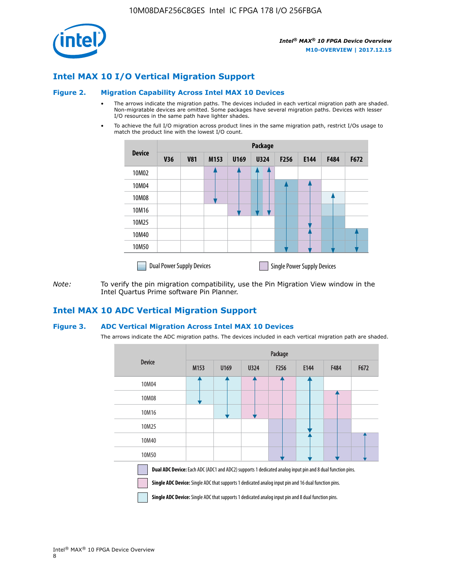

## **Intel MAX 10 I/O Vertical Migration Support**

#### **Figure 2. Migration Capability Across Intel MAX 10 Devices**

- The arrows indicate the migration paths. The devices included in each vertical migration path are shaded. Non-migratable devices are omitted. Some packages have several migration paths. Devices with lesser I/O resources in the same path have lighter shades.
- To achieve the full I/O migration across product lines in the same migration path, restrict I/Os usage to match the product line with the lowest I/O count.

|               | Package                          |            |      |      |             |      |                                    |      |      |  |
|---------------|----------------------------------|------------|------|------|-------------|------|------------------------------------|------|------|--|
| <b>Device</b> | <b>V36</b>                       | <b>V81</b> | M153 | U169 | <b>U324</b> | F256 | E144                               | F484 | F672 |  |
| 10M02         |                                  |            |      |      | 7           |      |                                    |      |      |  |
| 10M04         |                                  |            |      |      |             |      |                                    |      |      |  |
| 10M08         |                                  |            |      |      |             |      |                                    |      |      |  |
| 10M16         |                                  |            |      |      |             |      |                                    |      |      |  |
| 10M25         |                                  |            |      |      |             |      |                                    |      |      |  |
| 10M40         |                                  |            |      |      |             |      |                                    |      |      |  |
| 10M50         |                                  |            |      |      |             |      |                                    |      |      |  |
|               | <b>Dual Power Supply Devices</b> |            |      |      |             |      | <b>Single Power Supply Devices</b> |      |      |  |

*Note:* To verify the pin migration compatibility, use the Pin Migration View window in the Intel Quartus Prime software Pin Planner.

#### **Intel MAX 10 ADC Vertical Migration Support**

#### **Figure 3. ADC Vertical Migration Across Intel MAX 10 Devices**

The arrows indicate the ADC migration paths. The devices included in each vertical migration path are shaded.

|                                                                                                                                                                                                                  | Package          |      |      |                  |      |      |      |  |  |
|------------------------------------------------------------------------------------------------------------------------------------------------------------------------------------------------------------------|------------------|------|------|------------------|------|------|------|--|--|
| <b>Device</b>                                                                                                                                                                                                    | M <sub>153</sub> | U169 | U324 | F <sub>256</sub> | E144 | F484 | F672 |  |  |
| 10M04                                                                                                                                                                                                            |                  |      |      |                  |      |      |      |  |  |
| 10M08                                                                                                                                                                                                            |                  |      |      |                  |      |      |      |  |  |
| 10M16                                                                                                                                                                                                            |                  |      |      |                  |      |      |      |  |  |
| 10M25                                                                                                                                                                                                            |                  |      |      |                  |      |      |      |  |  |
| 10M40                                                                                                                                                                                                            |                  |      |      |                  |      |      |      |  |  |
| 10M50                                                                                                                                                                                                            |                  |      |      |                  |      |      |      |  |  |
| Dual ADC Device: Each ADC (ADC1 and ADC2) supports 1 dedicated analog input pin and 8 dual function pins.<br>Single ADC Device: Single ADC that supports 1 dedicated analog input pin and 16 dual function pins. |                  |      |      |                  |      |      |      |  |  |

**Single ADC Device:** Single ADC that supports 1 dedicated analog input pin and 8 dual function pins.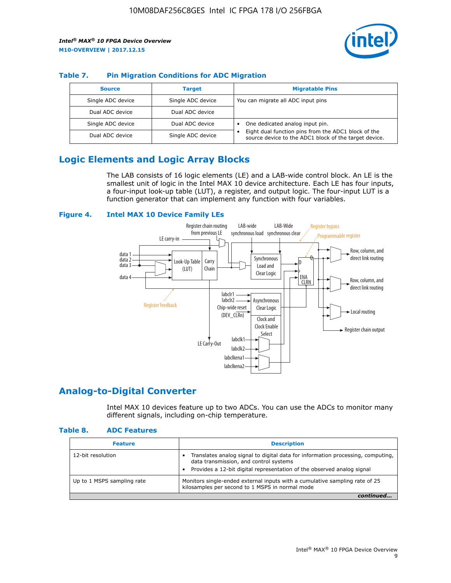

#### **Table 7. Pin Migration Conditions for ADC Migration**

| <b>Source</b>     | <b>Target</b>     | <b>Migratable Pins</b>                                                                                            |
|-------------------|-------------------|-------------------------------------------------------------------------------------------------------------------|
| Single ADC device | Single ADC device | You can migrate all ADC input pins                                                                                |
| Dual ADC device   | Dual ADC device   |                                                                                                                   |
| Single ADC device | Dual ADC device   | One dedicated analog input pin.                                                                                   |
| Dual ADC device   | Single ADC device | Eight dual function pins from the ADC1 block of the<br>٠<br>source device to the ADC1 block of the target device. |

## **Logic Elements and Logic Array Blocks**

The LAB consists of 16 logic elements (LE) and a LAB-wide control block. An LE is the smallest unit of logic in the Intel MAX 10 device architecture. Each LE has four inputs, a four-input look-up table (LUT), a register, and output logic. The four-input LUT is a function generator that can implement any function with four variables.

#### **Figure 4. Intel MAX 10 Device Family LEs**



#### **Analog-to-Digital Converter**

Intel MAX 10 devices feature up to two ADCs. You can use the ADCs to monitor many different signals, including on-chip temperature.

#### **Table 8. ADC Features**

| <b>Feature</b>             | <b>Description</b>                                                                                                                                                                                  |
|----------------------------|-----------------------------------------------------------------------------------------------------------------------------------------------------------------------------------------------------|
| 12-bit resolution          | Translates analog signal to digital data for information processing, computing,<br>data transmission, and control systems<br>Provides a 12-bit digital representation of the observed analog signal |
| Up to 1 MSPS sampling rate | Monitors single-ended external inputs with a cumulative sampling rate of 25<br>kilosamples per second to 1 MSPS in normal mode                                                                      |
|                            |                                                                                                                                                                                                     |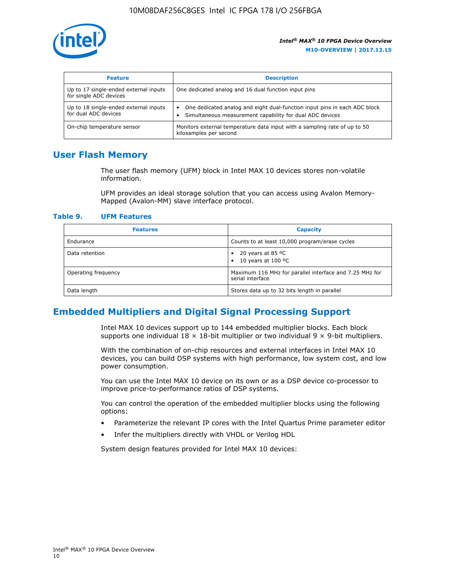

| <b>Feature</b>                                                  | <b>Description</b>                                                                                                                         |
|-----------------------------------------------------------------|--------------------------------------------------------------------------------------------------------------------------------------------|
| Up to 17 single-ended external inputs<br>for single ADC devices | One dedicated analog and 16 dual function input pins                                                                                       |
| Up to 18 single-ended external inputs<br>for dual ADC devices   | One dedicated analog and eight dual-function input pins in each ADC block<br>٠<br>Simultaneous measurement capability for dual ADC devices |
| On-chip temperature sensor                                      | Monitors external temperature data input with a sampling rate of up to 50<br>kilosamples per second                                        |

## **User Flash Memory**

The user flash memory (UFM) block in Intel MAX 10 devices stores non-volatile information.

UFM provides an ideal storage solution that you can access using Avalon Memory-Mapped (Avalon-MM) slave interface protocol.

#### **Table 9. UFM Features**

| <b>Features</b>     | <b>Capacity</b>                                                             |
|---------------------|-----------------------------------------------------------------------------|
| Endurance           | Counts to at least 10,000 program/erase cycles                              |
| Data retention      | 20 years at 85 °C<br>٠<br>10 years at 100 °C<br>$\bullet$                   |
| Operating frequency | Maximum 116 MHz for parallel interface and 7.25 MHz for<br>serial interface |
| Data length         | Stores data up to 32 bits length in parallel                                |

## **Embedded Multipliers and Digital Signal Processing Support**

Intel MAX 10 devices support up to 144 embedded multiplier blocks. Each block supports one individual  $18 \times 18$ -bit multiplier or two individual  $9 \times 9$ -bit multipliers.

With the combination of on-chip resources and external interfaces in Intel MAX 10 devices, you can build DSP systems with high performance, low system cost, and low power consumption.

You can use the Intel MAX 10 device on its own or as a DSP device co-processor to improve price-to-performance ratios of DSP systems.

You can control the operation of the embedded multiplier blocks using the following options:

- Parameterize the relevant IP cores with the Intel Quartus Prime parameter editor
- Infer the multipliers directly with VHDL or Verilog HDL

System design features provided for Intel MAX 10 devices: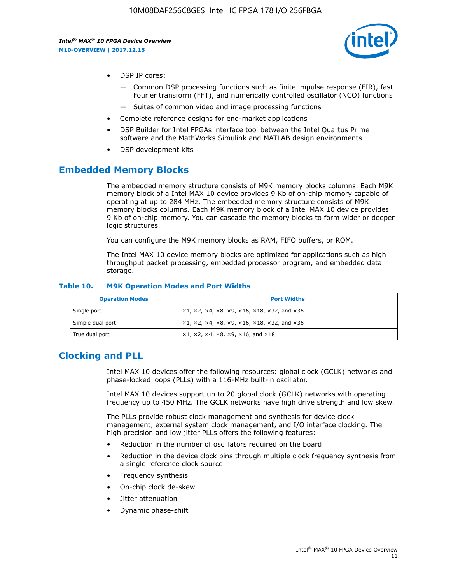

- DSP IP cores:
	- Common DSP processing functions such as finite impulse response (FIR), fast Fourier transform (FFT), and numerically controlled oscillator (NCO) functions
	- Suites of common video and image processing functions
- Complete reference designs for end-market applications
- DSP Builder for Intel FPGAs interface tool between the Intel Quartus Prime software and the MathWorks Simulink and MATLAB design environments
- DSP development kits

#### **Embedded Memory Blocks**

The embedded memory structure consists of M9K memory blocks columns. Each M9K memory block of a Intel MAX 10 device provides 9 Kb of on-chip memory capable of operating at up to 284 MHz. The embedded memory structure consists of M9K memory blocks columns. Each M9K memory block of a Intel MAX 10 device provides 9 Kb of on-chip memory. You can cascade the memory blocks to form wider or deeper logic structures.

You can configure the M9K memory blocks as RAM, FIFO buffers, or ROM.

The Intel MAX 10 device memory blocks are optimized for applications such as high throughput packet processing, embedded processor program, and embedded data storage.

| <b>Operation Modes</b> | <b>Port Widths</b>                                                            |
|------------------------|-------------------------------------------------------------------------------|
| Single port            | $x1, x2, x4, x8, x9, x16, x18, x32, and x36$                                  |
| Simple dual port       | $x1, x2, x4, x8, x9, x16, x18, x32, and x36$                                  |
| True dual port         | $\times1, \times2, \times4, \times8, \times9, \times16, \text{and } \times18$ |

#### **Table 10. M9K Operation Modes and Port Widths**

## **Clocking and PLL**

Intel MAX 10 devices offer the following resources: global clock (GCLK) networks and phase-locked loops (PLLs) with a 116-MHz built-in oscillator.

Intel MAX 10 devices support up to 20 global clock (GCLK) networks with operating frequency up to 450 MHz. The GCLK networks have high drive strength and low skew.

The PLLs provide robust clock management and synthesis for device clock management, external system clock management, and I/O interface clocking. The high precision and low jitter PLLs offers the following features:

- Reduction in the number of oscillators required on the board
- Reduction in the device clock pins through multiple clock frequency synthesis from a single reference clock source
- Frequency synthesis
- On-chip clock de-skew
- Jitter attenuation
- Dynamic phase-shift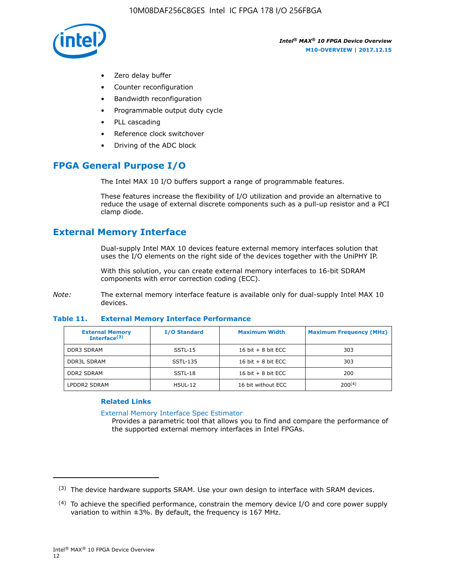

- Zero delay buffer
- Counter reconfiguration
- Bandwidth reconfiguration
- Programmable output duty cycle
- PLL cascading
- Reference clock switchover
- Driving of the ADC block

## **FPGA General Purpose I/O**

The Intel MAX 10 I/O buffers support a range of programmable features.

These features increase the flexibility of I/O utilization and provide an alternative to reduce the usage of external discrete components such as a pull-up resistor and a PCI clamp diode.

## **External Memory Interface**

Dual-supply Intel MAX 10 devices feature external memory interfaces solution that uses the I/O elements on the right side of the devices together with the UniPHY IP.

With this solution, you can create external memory interfaces to 16-bit SDRAM components with error correction coding (ECC).

*Note:* The external memory interface feature is available only for dual-supply Intel MAX 10 devices.

#### **Table 11. External Memory Interface Performance**

| <b>External Memory</b><br>Interface $(3)$ | <b>I/O Standard</b> | <b>Maximum Width</b> | <b>Maximum Frequency (MHz)</b> |
|-------------------------------------------|---------------------|----------------------|--------------------------------|
| <b>DDR3 SDRAM</b>                         | SSTL-15             | 16 bit $+8$ bit ECC  | 303                            |
| <b>DDR3L SDRAM</b>                        | SSTL-135            | 16 bit $+8$ bit ECC  | 303                            |
| <b>DDR2 SDRAM</b>                         | SSTL-18             | 16 bit $+8$ bit ECC  | 200                            |
| LPDDR2 SDRAM                              | $H$ SUL-12          | 16 bit without ECC   | $200^{(4)}$                    |

#### **Related Links**

[External Memory Interface Spec Estimator](http://www.altera.com/technology/memory/estimator/mem-emif-index.html)

Provides a parametric tool that allows you to find and compare the performance of the supported external memory interfaces in Intel FPGAs.

 $(3)$  The device hardware supports SRAM. Use your own design to interface with SRAM devices.

 $(4)$  To achieve the specified performance, constrain the memory device I/O and core power supply variation to within ±3%. By default, the frequency is 167 MHz.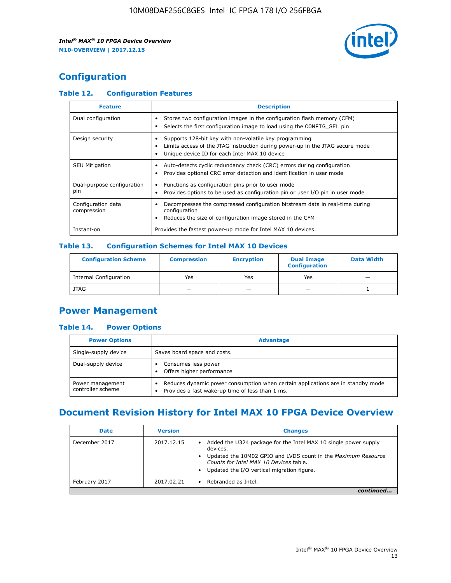

## **Configuration**

#### **Table 12. Configuration Features**

| <b>Feature</b>                    | <b>Description</b>                                                                                                                                                                       |
|-----------------------------------|------------------------------------------------------------------------------------------------------------------------------------------------------------------------------------------|
| Dual configuration                | Stores two configuration images in the configuration flash memory (CFM)<br>Selects the first configuration image to load using the CONFIG SEL pin                                        |
| Design security                   | Supports 128-bit key with non-volatile key programming<br>Limits access of the JTAG instruction during power-up in the JTAG secure mode<br>Unique device ID for each Intel MAX 10 device |
| <b>SEU Mitigation</b>             | Auto-detects cyclic redundancy check (CRC) errors during configuration<br>Provides optional CRC error detection and identification in user mode                                          |
| Dual-purpose configuration<br>pin | Functions as configuration pins prior to user mode<br>$\bullet$<br>Provides options to be used as configuration pin or user I/O pin in user mode                                         |
| Configuration data<br>compression | Decompresses the compressed configuration bitstream data in real-time during<br>configuration<br>Reduces the size of configuration image stored in the CFM                               |
| Instant-on                        | Provides the fastest power-up mode for Intel MAX 10 devices.                                                                                                                             |

#### **Table 13. Configuration Schemes for Intel MAX 10 Devices**

| <b>Configuration Scheme</b> | <b>Compression</b> | <b>Encryption</b> | <b>Dual Image</b><br><b>Configuration</b> | <b>Data Width</b> |
|-----------------------------|--------------------|-------------------|-------------------------------------------|-------------------|
| Internal Configuration      | Yes                | Yes               | Yes                                       |                   |
| <b>JTAG</b>                 | _                  |                   | -                                         |                   |

## **Power Management**

#### **Table 14. Power Options**

| <b>Power Options</b>                  | <b>Advantage</b>                                                                                                                                |  |
|---------------------------------------|-------------------------------------------------------------------------------------------------------------------------------------------------|--|
| Single-supply device                  | Saves board space and costs.                                                                                                                    |  |
| Dual-supply device                    | Consumes less power<br>Offers higher performance<br>$\bullet$                                                                                   |  |
| Power management<br>controller scheme | Reduces dynamic power consumption when certain applications are in standby mode<br>Provides a fast wake-up time of less than 1 ms.<br>$\bullet$ |  |

## **Document Revision History for Intel MAX 10 FPGA Device Overview**

| <b>Date</b>   | <b>Version</b> | <b>Changes</b>                                                                                                                                                                                                                       |
|---------------|----------------|--------------------------------------------------------------------------------------------------------------------------------------------------------------------------------------------------------------------------------------|
| December 2017 | 2017.12.15     | Added the U324 package for the Intel MAX 10 single power supply<br>devices.<br>Updated the 10M02 GPIO and LVDS count in the Maximum Resource<br>Counts for Intel MAX 10 Devices table.<br>Updated the I/O vertical migration figure. |
| February 2017 | 2017.02.21     | Rebranded as Intel.                                                                                                                                                                                                                  |
|               |                |                                                                                                                                                                                                                                      |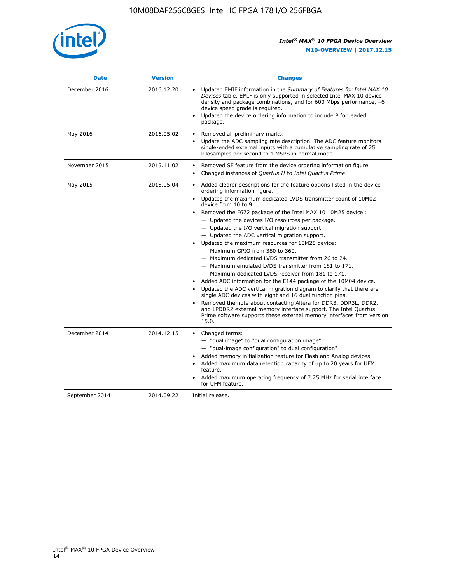

| <b>Date</b>    | <b>Version</b> | <b>Changes</b>                                                                                                                                                                                                                                                                                                                                                                                                                                                                                                                                                                                                                                                                                                                                                                                                                                                                                                                                                                                                                                                                                                  |
|----------------|----------------|-----------------------------------------------------------------------------------------------------------------------------------------------------------------------------------------------------------------------------------------------------------------------------------------------------------------------------------------------------------------------------------------------------------------------------------------------------------------------------------------------------------------------------------------------------------------------------------------------------------------------------------------------------------------------------------------------------------------------------------------------------------------------------------------------------------------------------------------------------------------------------------------------------------------------------------------------------------------------------------------------------------------------------------------------------------------------------------------------------------------|
| December 2016  | 2016.12.20     | • Updated EMIF information in the Summary of Features for Intel MAX 10<br>Devices table. EMIF is only supported in selected Intel MAX 10 device<br>density and package combinations, and for 600 Mbps performance, -6<br>device speed grade is required.<br>Updated the device ordering information to include P for leaded<br>package.                                                                                                                                                                                                                                                                                                                                                                                                                                                                                                                                                                                                                                                                                                                                                                         |
| May 2016       | 2016.05.02     | Removed all preliminary marks.<br>Update the ADC sampling rate description. The ADC feature monitors<br>single-ended external inputs with a cumulative sampling rate of 25<br>kilosamples per second to 1 MSPS in normal mode.                                                                                                                                                                                                                                                                                                                                                                                                                                                                                                                                                                                                                                                                                                                                                                                                                                                                                  |
| November 2015  | 2015.11.02     | Removed SF feature from the device ordering information figure.<br>$\bullet$<br>Changed instances of Quartus II to Intel Quartus Prime.<br>$\bullet$                                                                                                                                                                                                                                                                                                                                                                                                                                                                                                                                                                                                                                                                                                                                                                                                                                                                                                                                                            |
| May 2015       | 2015.05.04     | Added clearer descriptions for the feature options listed in the device<br>ordering information figure.<br>Updated the maximum dedicated LVDS transmitter count of 10M02<br>device from 10 to 9.<br>Removed the F672 package of the Intel MAX 10 10M25 device :<br>- Updated the devices I/O resources per package.<br>- Updated the I/O vertical migration support.<br>- Updated the ADC vertical migration support.<br>Updated the maximum resources for 10M25 device:<br>- Maximum GPIO from 380 to 360.<br>- Maximum dedicated LVDS transmitter from 26 to 24.<br>- Maximum emulated LVDS transmitter from 181 to 171.<br>- Maximum dedicated LVDS receiver from 181 to 171.<br>Added ADC information for the E144 package of the 10M04 device.<br>Updated the ADC vertical migration diagram to clarify that there are<br>single ADC devices with eight and 16 dual function pins.<br>Removed the note about contacting Altera for DDR3, DDR3L, DDR2,<br>and LPDDR2 external memory interface support. The Intel Quartus<br>Prime software supports these external memory interfaces from version<br>15.0. |
| December 2014  | 2014.12.15     | $\bullet$<br>Changed terms:<br>- "dual image" to "dual configuration image"<br>- "dual-image configuration" to dual configuration"<br>Added memory initialization feature for Flash and Analog devices.<br>Added maximum data retention capacity of up to 20 years for UFM<br>feature.<br>Added maximum operating frequency of 7.25 MHz for serial interface<br>for UFM feature.                                                                                                                                                                                                                                                                                                                                                                                                                                                                                                                                                                                                                                                                                                                                |
| September 2014 | 2014.09.22     | Initial release.                                                                                                                                                                                                                                                                                                                                                                                                                                                                                                                                                                                                                                                                                                                                                                                                                                                                                                                                                                                                                                                                                                |